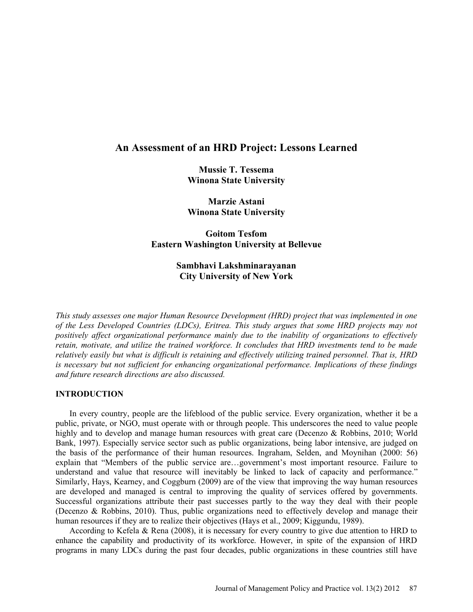# **An Assessment of an HRD Project: Lessons Learned**

**Mussie T. Tessema Winona State University** 

**Marzie Astani Winona State University**

**Goitom Tesfom Eastern Washington University at Bellevue** 

# **Sambhavi Lakshminarayanan City University of New York**

*This study assesses one major Human Resource Development (HRD) project that was implemented in one of the Less Developed Countries (LDCs), Eritrea. This study argues that some HRD projects may not positively affect organizational performance mainly due to the inability of organizations to effectively retain, motivate, and utilize the trained workforce. It concludes that HRD investments tend to be made relatively easily but what is difficult is retaining and effectively utilizing trained personnel. That is, HRD is necessary but not sufficient for enhancing organizational performance. Implications of these findings and future research directions are also discussed.*

### **INTRODUCTION**

In every country, people are the lifeblood of the public service. Every organization, whether it be a public, private, or NGO, must operate with or through people. This underscores the need to value people highly and to develop and manage human resources with great care (Decenzo & Robbins, 2010; World Bank, 1997). Especially service sector such as public organizations, being labor intensive, are judged on the basis of the performance of their human resources. Ingraham, Selden, and Moynihan (2000: 56) explain that "Members of the public service are…government's most important resource. Failure to understand and value that resource will inevitably be linked to lack of capacity and performance." Similarly, Hays, Kearney, and Coggburn (2009) are of the view that improving the way human resources are developed and managed is central to improving the quality of services offered by governments. Successful organizations attribute their past successes partly to the way they deal with their people (Decenzo & Robbins, 2010). Thus, public organizations need to effectively develop and manage their human resources if they are to realize their objectives (Hays et al., 2009; Kiggundu, 1989).

According to Kefela & Rena (2008), it is necessary for every country to give due attention to HRD to enhance the capability and productivity of its workforce. However, in spite of the expansion of HRD programs in many LDCs during the past four decades, public organizations in these countries still have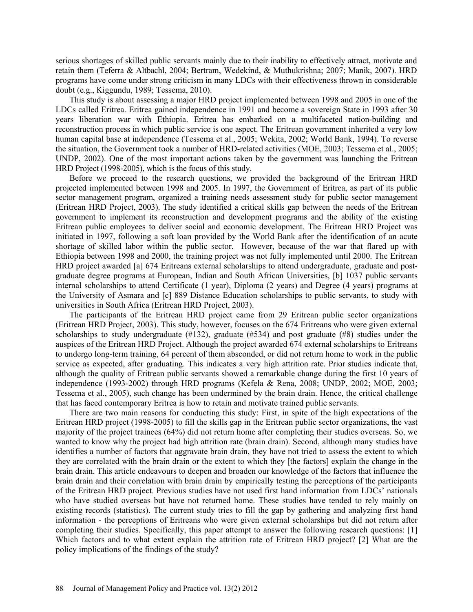serious shortages of skilled public servants mainly due to their inability to effectively attract, motivate and retain them (Teferra & Altbachl, 2004; Bertram, Wedekind, & Muthukrishna; 2007; Manik, 2007). HRD programs have come under strong criticism in many LDCs with their effectiveness thrown in considerable doubt (e.g., Kiggundu, 1989; Tessema, 2010).

This study is about assessing a major HRD project implemented between 1998 and 2005 in one of the LDCs called Eritrea. Eritrea gained independence in 1991 and become a sovereign State in 1993 after 30 years liberation war with Ethiopia. Eritrea has embarked on a multifaceted nation-building and reconstruction process in which public service is one aspect. The Eritrean government inherited a very low human capital base at independence (Tessema et al., 2005; Wekita, 2002; World Bank, 1994). To reverse the situation, the Government took a number of HRD-related activities (MOE, 2003; Tessema et al., 2005; UNDP, 2002). One of the most important actions taken by the government was launching the Eritrean HRD Project (1998-2005), which is the focus of this study.

Before we proceed to the research questions, we provided the background of the Eritrean HRD projected implemented between 1998 and 2005. In 1997, the Government of Eritrea, as part of its public sector management program, organized a training needs assessment study for public sector management (Eritrean HRD Project, 2003). The study identified a critical skills gap between the needs of the Eritrean government to implement its reconstruction and development programs and the ability of the existing Eritrean public employees to deliver social and economic development. The Eritrean HRD Project was initiated in 1997, following a soft loan provided by the World Bank after the identification of an acute shortage of skilled labor within the public sector. However, because of the war that flared up with Ethiopia between 1998 and 2000, the training project was not fully implemented until 2000. The Eritrean HRD project awarded [a] 674 Eritreans external scholarships to attend undergraduate, graduate and postgraduate degree programs at European, Indian and South African Universities, [b] 1037 public servants internal scholarships to attend Certificate (1 year), Diploma (2 years) and Degree (4 years) programs at the University of Asmara and [c] 889 Distance Education scholarships to public servants, to study with universities in South Africa (Eritrean HRD Project, 2003).

The participants of the Eritrean HRD project came from 29 Eritrean public sector organizations (Eritrean HRD Project, 2003). This study, however, focuses on the 674 Eritreans who were given external scholarships to study undergraduate  $(\#132)$ , graduate  $(\#534)$  and post graduate  $(\#8)$  studies under the auspices of the Eritrean HRD Project. Although the project awarded 674 external scholarships to Eritreans to undergo long-term training, 64 percent of them absconded, or did not return home to work in the public service as expected, after graduating. This indicates a very high attrition rate. Prior studies indicate that, although the quality of Eritrean public servants showed a remarkable change during the first 10 years of independence (1993-2002) through HRD programs (Kefela & Rena, 2008; UNDP, 2002; MOE, 2003; Tessema et al., 2005), such change has been undermined by the brain drain. Hence, the critical challenge that has faced contemporary Eritrea is how to retain and motivate trained public servants.

There are two main reasons for conducting this study: First, in spite of the high expectations of the Eritrean HRD project (1998-2005) to fill the skills gap in the Eritrean public sector organizations, the vast majority of the project trainees (64%) did not return home after completing their studies overseas. So, we wanted to know why the project had high attrition rate (brain drain). Second, although many studies have identifies a number of factors that aggravate brain drain, they have not tried to assess the extent to which they are correlated with the brain drain or the extent to which they [the factors] explain the change in the brain drain. This article endeavours to deepen and broaden our knowledge of the factors that influence the brain drain and their correlation with brain drain by empirically testing the perceptions of the participants of the Eritrean HRD project. Previous studies have not used first hand information from LDCs' nationals who have studied overseas but have not returned home. These studies have tended to rely mainly on existing records (statistics). The current study tries to fill the gap by gathering and analyzing first hand information - the perceptions of Eritreans who were given external scholarships but did not return after completing their studies. Specifically, this paper attempt to answer the following research questions: [1] Which factors and to what extent explain the attrition rate of Eritrean HRD project? [2] What are the policy implications of the findings of the study?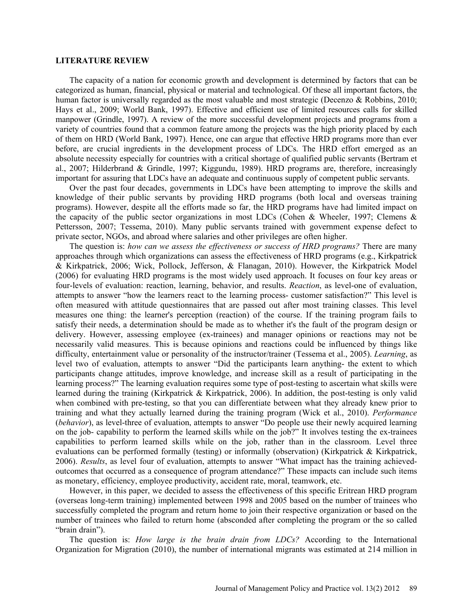#### **LITERATURE REVIEW**

The capacity of a nation for economic growth and development is determined by factors that can be categorized as human, financial, physical or material and technological. Of these all important factors, the human factor is universally regarded as the most valuable and most strategic (Decenzo & Robbins, 2010; Hays et al., 2009; World Bank, 1997). Effective and efficient use of limited resources calls for skilled manpower (Grindle, 1997). A review of the more successful development projects and programs from a variety of countries found that a common feature among the projects was the high priority placed by each of them on HRD (World Bank, 1997). Hence, one can argue that effective HRD programs more than ever before, are crucial ingredients in the development process of LDCs. The HRD effort emerged as an absolute necessity especially for countries with a critical shortage of qualified public servants (Bertram et al., 2007; Hilderbrand & Grindle, 1997; Kiggundu, 1989). HRD programs are, therefore, increasingly important for assuring that LDCs have an adequate and continuous supply of competent public servants.

Over the past four decades, governments in LDCs have been attempting to improve the skills and knowledge of their public servants by providing HRD programs (both local and overseas training programs). However, despite all the efforts made so far, the HRD programs have had limited impact on the capacity of the public sector organizations in most LDCs (Cohen & Wheeler, 1997; Clemens & Pettersson, 2007; Tessema, 2010). Many public servants trained with government expense defect to private sector, NGOs, and abroad where salaries and other privileges are often higher.

The question is: *how can we assess the effectiveness or success of HRD programs?* There are many approaches through which organizations can assess the effectiveness of HRD programs (e.g., Kirkpatrick & Kirkpatrick, 2006; Wick, Pollock, Jefferson, & Flanagan, 2010). However, the Kirkpatrick Model (2006) for evaluating HRD programs is the most widely used approach. It focuses on four key areas or four-levels of evaluation: reaction, learning, behavior, and results. *Reaction*, as level-one of evaluation, attempts to answer "how the learners react to the learning process- customer satisfaction?" This level is often measured with attitude questionnaires that are passed out after most training classes. This level measures one thing: the learner's perception (reaction) of the course. If the training program fails to satisfy their needs, a determination should be made as to whether it's the fault of the program design or delivery. However, assessing employee (ex-trainees) and manager opinions or reactions may not be necessarily valid measures. This is because opinions and reactions could be influenced by things like difficulty, entertainment value or personality of the instructor/trainer (Tessema et al., 2005). *Learning*, as level two of evaluation, attempts to answer "Did the participants learn anything- the extent to which participants change attitudes, improve knowledge, and increase skill as a result of participating in the learning process?" The learning evaluation requires some type of post-testing to ascertain what skills were learned during the training (Kirkpatrick & Kirkpatrick, 2006). In addition, the post-testing is only valid when combined with pre-testing, so that you can differentiate between what they already knew prior to training and what they actually learned during the training program (Wick et al., 2010). *Performance* (*behavior*), as level-three of evaluation, attempts to answer "Do people use their newly acquired learning on the job- capability to perform the learned skills while on the job?" It involves testing the ex-trainees capabilities to perform learned skills while on the job, rather than in the classroom. Level three evaluations can be performed formally (testing) or informally (observation) (Kirkpatrick & Kirkpatrick, 2006). *Results*, as level four of evaluation, attempts to answer "What impact has the training achievedoutcomes that occurred as a consequence of program attendance?" These impacts can include such items as monetary, efficiency, employee productivity, accident rate, moral, teamwork, etc.

However, in this paper, we decided to assess the effectiveness of this specific Eritrean HRD program (overseas long-term training) implemented between 1998 and 2005 based on the number of trainees who successfully completed the program and return home to join their respective organization or based on the number of trainees who failed to return home (absconded after completing the program or the so called "brain drain").

The question is: *How large is the brain drain from LDCs?* According to the International Organization for Migration (2010), the number of international migrants was estimated at 214 million in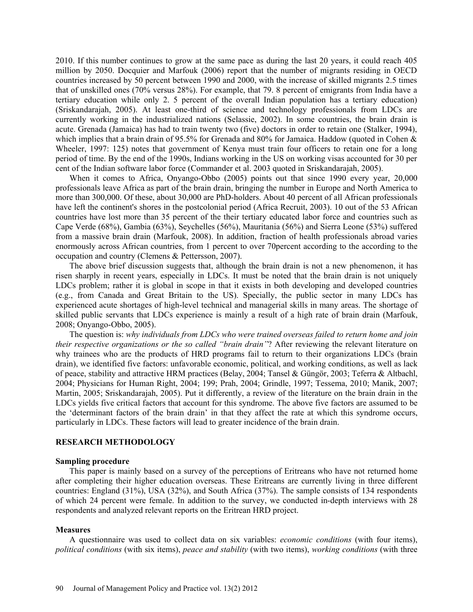2010. If this number continues to grow at the same pace as during the last 20 years, it could reach 405 million by 2050. Docquier and Marfouk (2006) report that the number of migrants residing in OECD countries increased by 50 percent between 1990 and 2000, with the increase of skilled migrants 2.5 times that of unskilled ones (70% versus 28%). For example, that 79. 8 percent of emigrants from India have a tertiary education while only 2. 5 percent of the overall Indian population has a tertiary education) (Sriskandarajah, 2005). At least one-third of science and technology professionals from LDCs are currently working in the industrialized nations (Selassie, 2002). In some countries, the brain drain is acute. Grenada (Jamaica) has had to train twenty two (five) doctors in order to retain one (Stalker, 1994), which implies that a brain drain of 95.5% for Grenada and 80% for Jamaica. Haddow (quoted in Cohen & Wheeler, 1997: 125) notes that government of Kenya must train four officers to retain one for a long period of time. By the end of the 1990s, Indians working in the US on working visas accounted for 30 per cent of the Indian software labor force (Commander et al. 2003 quoted in Sriskandarajah, 2005).

When it comes to Africa, Onyango-Obbo (2005) points out that since 1990 every year, 20,000 professionals leave Africa as part of the brain drain, bringing the number in Europe and North America to more than 300,000. Of these, about 30,000 are PhD-holders. About 40 percent of all African professionals have left the continent's shores in the postcolonial period (Africa Recruit, 2003). 10 out of the 53 African countries have lost more than 35 percent of the their tertiary educated labor force and countries such as Cape Verde (68%), Gambia (63%), Seychelles (56%), Mauritania (56%) and Sierra Leone (53%) suffered from a massive brain drain (Marfouk, 2008). In addition, fraction of health professionals abroad varies enormously across African countries, from 1 percent to over 70percent according to the according to the occupation and country (Clemens & Pettersson, 2007).

The above brief discussion suggests that, although the brain drain is not a new phenomenon, it has risen sharply in recent years, especially in LDCs. It must be noted that the brain drain is not uniquely LDCs problem; rather it is global in scope in that it exists in both developing and developed countries (e.g., from Canada and Great Britain to the US). Specially, the public sector in many LDCs has experienced acute shortages of high-level technical and managerial skills in many areas. The shortage of skilled public servants that LDCs experience is mainly a result of a high rate of brain drain (Marfouk, 2008; Onyango-Obbo, 2005).

The question is: *why individuals from LDCs who were trained overseas failed to return home and join their respective organizations or the so called "brain drain"*? After reviewing the relevant literature on why trainees who are the products of HRD programs fail to return to their organizations LDCs (brain drain), we identified five factors: unfavorable economic, political, and working conditions, as well as lack of peace, stability and attractive HRM practices (Belay, 2004; Tansel & Güngör, 2003; Teferra & Altbachl, 2004; Physicians for Human Right, 2004; 199; Prah, 2004; Grindle, 1997; Tessema, 2010; Manik, 2007; Martin, 2005; Sriskandarajah, 2005). Put it differently, a review of the literature on the brain drain in the LDCs yields five critical factors that account for this syndrome. The above five factors are assumed to be the 'determinant factors of the brain drain' in that they affect the rate at which this syndrome occurs, particularly in LDCs. These factors will lead to greater incidence of the brain drain.

## **RESEARCH METHODOLOGY**

#### **Sampling procedure**

This paper is mainly based on a survey of the perceptions of Eritreans who have not returned home after completing their higher education overseas. These Eritreans are currently living in three different countries: England (31%), USA (32%), and South Africa (37%). The sample consists of 134 respondents of which 24 percent were female. In addition to the survey, we conducted in-depth interviews with 28 respondents and analyzed relevant reports on the Eritrean HRD project.

### **Measures**

A questionnaire was used to collect data on six variables: *economic conditions* (with four items), *political conditions* (with six items), *peace and stability* (with two items), *working conditions* (with three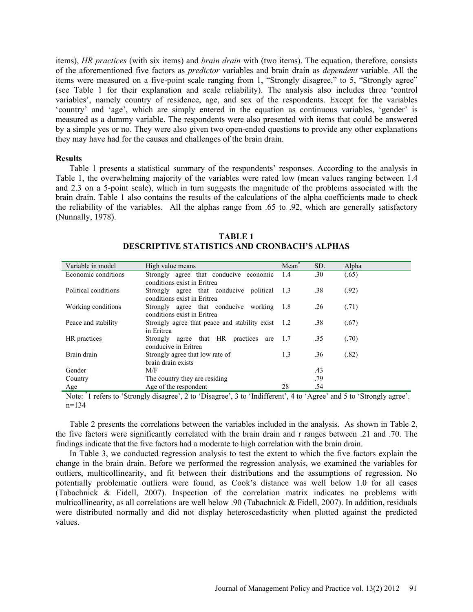items), *HR practices* (with six items) and *brain drain* with (two items). The equation, therefore, consists of the aforementioned five factors as *predictor* variables and brain drain as *dependent* variable. All the items were measured on a five-point scale ranging from 1, "Strongly disagree," to 5, "Strongly agree" (see Table 1 for their explanation and scale reliability). The analysis also includes three 'control variables', namely country of residence, age, and sex of the respondents. Except for the variables 'country' and 'age', which are simply entered in the equation as continuous variables, 'gender' is measured as a dummy variable. The respondents were also presented with items that could be answered by a simple yes or no. They were also given two open-ended questions to provide any other explanations they may have had for the causes and challenges of the brain drain.

### **Results**

Table 1 presents a statistical summary of the respondents' responses. According to the analysis in Table 1, the overwhelming majority of the variables were rated low (mean values ranging between 1.4 and 2.3 on a 5-point scale), which in turn suggests the magnitude of the problems associated with the brain drain. Table 1 also contains the results of the calculations of the alpha coefficients made to check the reliability of the variables. All the alphas range from .65 to .92, which are generally satisfactory (Nunnally, 1978).

| Variable in model    | High value means                                                           | Mean | SD. | Alpha |
|----------------------|----------------------------------------------------------------------------|------|-----|-------|
| Economic conditions  | Strongly agree that conducive economic<br>conditions exist in Eritrea      | 1.4  | .30 | (.65) |
| Political conditions | Strongly agree that conducive political 1.3<br>conditions exist in Eritrea |      | .38 | (.92) |
| Working conditions   | Strongly agree that conducive working 1.8<br>conditions exist in Eritrea   |      | .26 | (.71) |
| Peace and stability  | Strongly agree that peace and stability exist 1.2<br>in Eritrea            |      | .38 | (.67) |
| HR practices         | that HR practices<br>Strongly<br>agree<br>are<br>conducive in Eritrea      | 1.7  | .35 | (.70) |
| Brain drain          | Strongly agree that low rate of<br>brain drain exists                      | 1.3  | .36 | (.82) |
| Gender               | M/F                                                                        |      | .43 |       |
| Country              | The country they are residing                                              |      | .79 |       |
| Age                  | Age of the respondent                                                      | 28   | .54 |       |

**TABLE 1 DESCRIPTIVE STATISTICS AND CRONBACH'S ALPHAS**

Note: <sup>\*</sup>1 refers to 'Strongly disagree', 2 to 'Disagree', 3 to 'Indifferent', 4 to 'Agree' and 5 to 'Strongly agree'. n=134

Table 2 presents the correlations between the variables included in the analysis. As shown in Table 2, the five factors were significantly correlated with the brain drain and r ranges between .21 and .70. The findings indicate that the five factors had a moderate to high correlation with the brain drain.

In Table 3, we conducted regression analysis to test the extent to which the five factors explain the change in the brain drain. Before we performed the regression analysis, we examined the variables for outliers, multicollinearity, and fit between their distributions and the assumptions of regression. No potentially problematic outliers were found, as Cook's distance was well below 1.0 for all cases (Tabachnick & Fidell, 2007). Inspection of the correlation matrix indicates no problems with multicollinearity, as all correlations are well below .90 (Tabachnick & Fidell, 2007). In addition, residuals were distributed normally and did not display heteroscedasticity when plotted against the predicted values.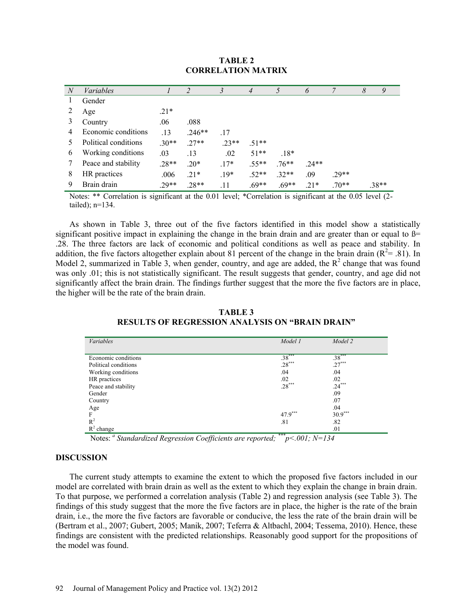| N | <i>Variables</i>     |         |          | 3       | 4       | 5       | 6       |        | 8 | 9     |
|---|----------------------|---------|----------|---------|---------|---------|---------|--------|---|-------|
| T | Gender               |         |          |         |         |         |         |        |   |       |
| 2 | Age                  | $.21*$  |          |         |         |         |         |        |   |       |
| 3 | Country              | .06     | .088     |         |         |         |         |        |   |       |
| 4 | Economic conditions  | .13     | $.246**$ | .17     |         |         |         |        |   |       |
|   | Political conditions | $.30**$ | $27**$   | $.23**$ | $.51**$ |         |         |        |   |       |
| 6 | Working conditions   | .03     | .13      | .02     | $51**$  | $.18*$  |         |        |   |       |
|   | Peace and stability  | $.28**$ | $.20*$   | $.17*$  | $.55**$ | $.76**$ | $.24**$ |        |   |       |
| 8 | HR practices         | .006    | $.21*$   | $.19*$  | $.52**$ | $.32**$ | .09     | $29**$ |   |       |
| 9 | Brain drain          | $.29**$ | $.28**$  | .11     | $.69**$ | $.69**$ | $.21*$  | $70**$ |   | .38** |

## **TABLE 2 CORRELATION MATRIX**

Notes: \*\* Correlation is significant at the 0.01 level; \*Correlation is significant at the 0.05 level (2 tailed); n=134.

As shown in Table 3, three out of the five factors identified in this model show a statistically significant positive impact in explaining the change in the brain drain and are greater than or equal to  $\beta$ = .28. The three factors are lack of economic and political conditions as well as peace and stability. In addition, the five factors altogether explain about 81 percent of the change in the brain drain  $(R^2 = .81)$ . In Model 2, summarized in Table 3, when gender, country, and age are added, the  $R<sup>2</sup>$  change that was found was only .01; this is not statistically significant. The result suggests that gender, country, and age did not significantly affect the brain drain. The findings further suggest that the more the five factors are in place, the higher will be the rate of the brain drain.

| Variables            | Model 1   | Model 2   |
|----------------------|-----------|-----------|
|                      |           |           |
| Economic conditions  | $.38***$  | $.38***$  |
| Political conditions | $.28***$  | $.27***$  |
| Working conditions   | .04       | .04       |
| HR practices         | .02       | .02       |
| Peace and stability  | $.28***$  | $.24***$  |
| Gender               |           | .09       |
| Country              |           | .07       |
| Age                  |           | .04       |
| F                    | $47.9***$ | $30.9***$ |
| $R^2$                | .81       | .82       |
| $R^2$ change         | .         | .01       |

**TABLE 3 RESULTS OF REGRESSION ANALYSIS ON "BRAIN DRAIN"**

Notes: *<sup>a</sup> Standardized Regression Coefficients are reported; \*\*\*p<.001; N=134* 

### **DISCUSSION**

The current study attempts to examine the extent to which the proposed five factors included in our model are correlated with brain drain as well as the extent to which they explain the change in brain drain. To that purpose, we performed a correlation analysis (Table 2) and regression analysis (see Table 3). The findings of this study suggest that the more the five factors are in place, the higher is the rate of the brain drain, i.e., the more the five factors are favorable or conducive, the less the rate of the brain drain will be (Bertram et al., 2007; Gubert, 2005; Manik, 2007; Teferra & Altbachl, 2004; Tessema, 2010). Hence, these findings are consistent with the predicted relationships. Reasonably good support for the propositions of the model was found.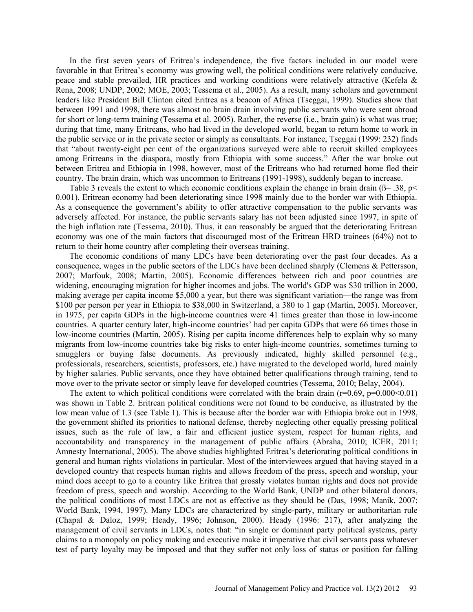In the first seven years of Eritrea's independence, the five factors included in our model were favorable in that Eritrea's economy was growing well, the political conditions were relatively conducive, peace and stable prevailed, HR practices and working conditions were relatively attractive (Kefela & Rena, 2008; UNDP, 2002; MOE, 2003; Tessema et al., 2005). As a result, many scholars and government leaders like President Bill Clinton cited Eritrea as a beacon of Africa (Tseggai, 1999). Studies show that between 1991 and 1998, there was almost no brain drain involving public servants who were sent abroad for short or long-term training (Tessema et al. 2005). Rather, the reverse (i.e., brain gain) is what was true; during that time, many Eritreans, who had lived in the developed world, began to return home to work in the public service or in the private sector or simply as consultants. For instance, Tseggai (1999: 232) finds that "about twenty-eight per cent of the organizations surveyed were able to recruit skilled employees among Eritreans in the diaspora, mostly from Ethiopia with some success." After the war broke out between Eritrea and Ethiopia in 1998, however, most of the Eritreans who had returned home fled their country. The brain drain, which was uncommon to Eritreans (1991-1998), suddenly began to increase.

Table 3 reveals the extent to which economic conditions explain the change in brain drain ( $\beta$ = .38, p< 0.001). Eritrean economy had been deteriorating since 1998 mainly due to the border war with Ethiopia. As a consequence the government's ability to offer attractive compensation to the public servants was adversely affected. For instance, the public servants salary has not been adjusted since 1997, in spite of the high inflation rate (Tessema, 2010). Thus, it can reasonably be argued that the deteriorating Eritrean economy was one of the main factors that discouraged most of the Eritrean HRD trainees (64%) not to return to their home country after completing their overseas training.

The economic conditions of many LDCs have been deteriorating over the past four decades. As a consequence, wages in the public sectors of the LDCs have been declined sharply (Clemens & Pettersson, 2007; Marfouk, 2008; Martin, 2005). Economic differences between rich and poor countries are widening, encouraging migration for higher incomes and jobs. The world's GDP was \$30 trillion in 2000, making average per capita income \$5,000 a year, but there was significant variation—the range was from \$100 per person per year in Ethiopia to \$38,000 in Switzerland, a 380 to 1 gap (Martin, 2005). Moreover, in 1975, per capita GDPs in the high-income countries were 41 times greater than those in low-income countries. A quarter century later, high-income countries' had per capita GDPs that were 66 times those in low-income countries (Martin, 2005). Rising per capita income differences help to explain why so many migrants from low-income countries take big risks to enter high-income countries, sometimes turning to smugglers or buying false documents. As previously indicated, highly skilled personnel (e.g., professionals, researchers, scientists, professors, etc.) have migrated to the developed world, lured mainly by higher salaries. Public servants, once they have obtained better qualifications through training, tend to move over to the private sector or simply leave for developed countries (Tessema, 2010; Belay, 2004).

The extent to which political conditions were correlated with the brain drain  $(r=0.69, p=0.000<0.01)$ was shown in Table 2. Eritrean political conditions were not found to be conducive, as illustrated by the low mean value of 1.3 (see Table 1). This is because after the border war with Ethiopia broke out in 1998, the government shifted its priorities to national defense, thereby neglecting other equally pressing political issues, such as the rule of law, a fair and efficient justice system, respect for human rights, and accountability and transparency in the management of public affairs (Abraha, 2010; ICER, 2011; Amnesty International, 2005). The above studies highlighted Eritrea's deteriorating political conditions in general and human rights violations in particular. Most of the interviewees argued that having stayed in a developed country that respects human rights and allows freedom of the press, speech and worship, your mind does accept to go to a country like Eritrea that grossly violates human rights and does not provide freedom of press, speech and worship. According to the World Bank, UNDP and other bilateral donors, the political conditions of most LDCs are not as effective as they should be (Das, 1998; Manik, 2007; World Bank, 1994, 1997). Many LDCs are characterized by single-party, military or authoritarian rule (Chapal & Daloz, 1999; Heady, 1996; Johnson, 2000). Heady (1996: 217), after analyzing the management of civil servants in LDCs, notes that: "in single or dominant party political systems, party claims to a monopoly on policy making and executive make it imperative that civil servants pass whatever test of party loyalty may be imposed and that they suffer not only loss of status or position for falling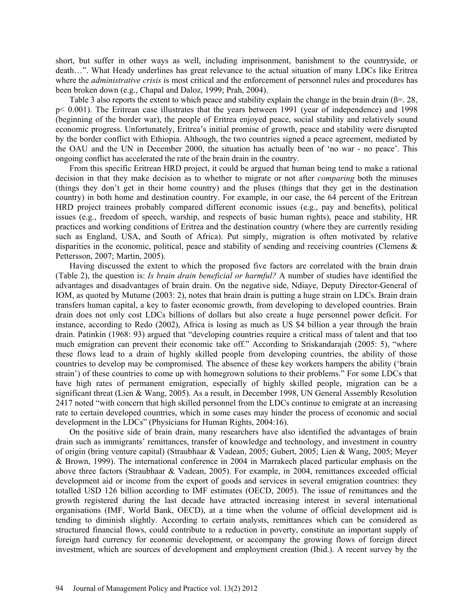short, but suffer in other ways as well, including imprisonment, banishment to the countryside, or death…". What Heady underlines has great relevance to the actual situation of many LDCs like Eritrea where the *administrative crisis* is most critical and the enforcement of personnel rules and procedures has been broken down (e.g., Chapal and Daloz, 1999; Prah, 2004).

Table 3 also reports the extent to which peace and stability explain the change in the brain drain ( $\beta$ =. 28, p< 0.001). The Eritrean case illustrates that the years between 1991 (year of independence) and 1998 (beginning of the border war), the people of Eritrea enjoyed peace, social stability and relatively sound economic progress. Unfortunately, Eritrea's initial promise of growth, peace and stability were disrupted by the border conflict with Ethiopia. Although, the two countries signed a peace agreement, mediated by the OAU and the UN in December 2000, the situation has actually been of 'no war - no peace'. This ongoing conflict has accelerated the rate of the brain drain in the country.

From this specific Eritrean HRD project, it could be argued that human being tend to make a rational decision in that they make decision as to whether to migrate or not after *comparing* both the minuses (things they don't get in their home country) and the pluses (things that they get in the destination country) in both home and destination country. For example, in our case, the 64 percent of the Eritrean HRD project trainees probably compared different economic issues (e.g., pay and benefits), political issues (e.g., freedom of speech, warship, and respects of basic human rights), peace and stability, HR practices and working conditions of Eritrea and the destination country (where they are currently residing such as England, USA, and South of Africa). Put simply, migration is often motivated by relative disparities in the economic, political, peace and stability of sending and receiving countries (Clemens & Pettersson, 2007; Martin, 2005).

Having discussed the extent to which the proposed five factors are correlated with the brain drain (Table 2), the question is: *Is brain drain beneficial or harmful?* A number of studies have identified the advantages and disadvantages of brain drain. On the negative side, Ndiaye, Deputy Director-General of IOM, as quoted by Mutume (2003: 2), notes that brain drain is putting a huge strain on LDCs. Brain drain transfers human capital, a key to faster economic growth, from developing to developed countries. Brain drain does not only cost LDCs billions of dollars but also create a huge personnel power deficit. For instance, according to Redo (2002), Africa is losing as much as US \$4 billion a year through the brain drain. Patinkin (1968: 93) argued that "developing countries require a critical mass of talent and that too much emigration can prevent their economic take off." According to Sriskandarajah (2005: 5), "where these flows lead to a drain of highly skilled people from developing countries, the ability of those countries to develop may be compromised. The absence of these key workers hampers the ability ('brain strain') of these countries to come up with homegrown solutions to their problems." For some LDCs that have high rates of permanent emigration, especially of highly skilled people, migration can be a significant threat (Lien & Wang, 2005). As a result, in December 1998, UN General Assembly Resolution 2417 noted "with concern that high skilled personnel from the LDCs continue to emigrate at an increasing rate to certain developed countries, which in some cases may hinder the process of economic and social development in the LDCs" (Physicians for Human Rights, 2004:16).

On the positive side of brain drain, many researchers have also identified the advantages of brain drain such as immigrants' remittances, transfer of knowledge and technology, and investment in country of origin (bring venture capital) (Straubhaar & Vadean, 2005; Gubert, 2005; Lien & Wang, 2005; Meyer & Brown, 1999). The international conference in 2004 in Marrakech placed particular emphasis on the above three factors (Straubhaar & Vadean, 2005). For example, in 2004, remittances exceeded official development aid or income from the export of goods and services in several emigration countries: they totalled USD 126 billion according to IMF estimates (OECD, 2005). The issue of remittances and the growth registered during the last decade have attracted increasing interest in several international organisations (IMF, World Bank, OECD), at a time when the volume of official development aid is tending to diminish slightly. According to certain analysts, remittances which can be considered as structured financial flows, could contribute to a reduction in poverty, constitute an important supply of foreign hard currency for economic development, or accompany the growing flows of foreign direct investment, which are sources of development and employment creation (Ibid.). A recent survey by the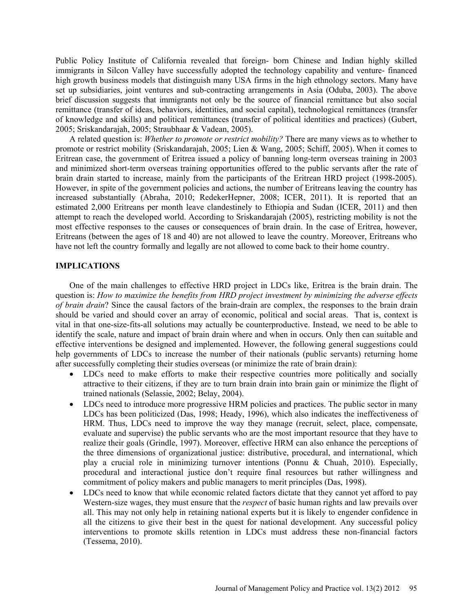Public Policy Institute of California revealed that foreign- born Chinese and Indian highly skilled immigrants in Silcon Valley have successfully adopted the technology capability and venture- financed high growth business models that distinguish many USA firms in the high ethnology sectors. Many have set up subsidiaries, joint ventures and sub-contracting arrangements in Asia (Oduba, 2003). The above brief discussion suggests that immigrants not only be the source of financial remittance but also social remittance (transfer of ideas, behaviors, identities, and social capital), technological remittances (transfer of knowledge and skills) and political remittances (transfer of political identities and practices) (Gubert, 2005; Sriskandarajah, 2005; Straubhaar & Vadean, 2005).

A related question is: *Whether to promote or restrict mobility?* There are many views as to whether to promote or restrict mobility (Sriskandarajah, 2005; Lien & Wang, 2005; Schiff, 2005). When it comes to Eritrean case, the government of Eritrea issued a policy of banning long-term overseas training in 2003 and minimized short-term overseas training opportunities offered to the public servants after the rate of brain drain started to increase, mainly from the participants of the Eritrean HRD project (1998-2005). However, in spite of the government policies and actions, the number of Eritreans leaving the country has increased substantially (Abraha, 2010; RedekerHepner, 2008; ICER, 2011). It is reported that an estimated 2,000 Eritreans per month leave clandestinely to Ethiopia and Sudan (ICER, 2011) and then attempt to reach the developed world. According to Sriskandarajah (2005), restricting mobility is not the most effective responses to the causes or consequences of brain drain. In the case of Eritrea, however, Eritreans (between the ages of 18 and 40) are not allowed to leave the country. Moreover, Eritreans who have not left the country formally and legally are not allowed to come back to their home country.

### **IMPLICATIONS**

One of the main challenges to effective HRD project in LDCs like, Eritrea is the brain drain. The question is: *How to maximize the benefits from HRD project investment by minimizing the adverse effects of brain drain*? Since the causal factors of the brain-drain are complex, the responses to the brain drain should be varied and should cover an array of economic, political and social areas. That is, context is vital in that one-size-fits-all solutions may actually be counterproductive. Instead, we need to be able to identify the scale, nature and impact of brain drain where and when in occurs. Only then can suitable and effective interventions be designed and implemented. However, the following general suggestions could help governments of LDCs to increase the number of their nationals (public servants) returning home after successfully completing their studies overseas (or minimize the rate of brain drain):

- LDCs need to make efforts to make their respective countries more politically and socially attractive to their citizens, if they are to turn brain drain into brain gain or minimize the flight of trained nationals (Selassie, 2002; Belay, 2004).
- LDCs need to introduce more progressive HRM policies and practices. The public sector in many LDCs has been politicized (Das, 1998; Heady, 1996), which also indicates the ineffectiveness of HRM. Thus, LDCs need to improve the way they manage (recruit, select, place, compensate, evaluate and supervise) the public servants who are the most important resource that they have to realize their goals (Grindle, 1997). Moreover, effective HRM can also enhance the perceptions of the three dimensions of organizational justice: distributive, procedural, and international, which play a crucial role in minimizing turnover intentions (Ponnu & Chuah, 2010). Especially, procedural and interactional justice don't require final resources but rather willingness and commitment of policy makers and public managers to merit principles (Das, 1998).
- LDCs need to know that while economic related factors dictate that they cannot yet afford to pay Western-size wages, they must ensure that the *respect* of basic human rights and law prevails over all. This may not only help in retaining national experts but it is likely to engender confidence in all the citizens to give their best in the quest for national development. Any successful policy interventions to promote skills retention in LDCs must address these non-financial factors (Tessema, 2010).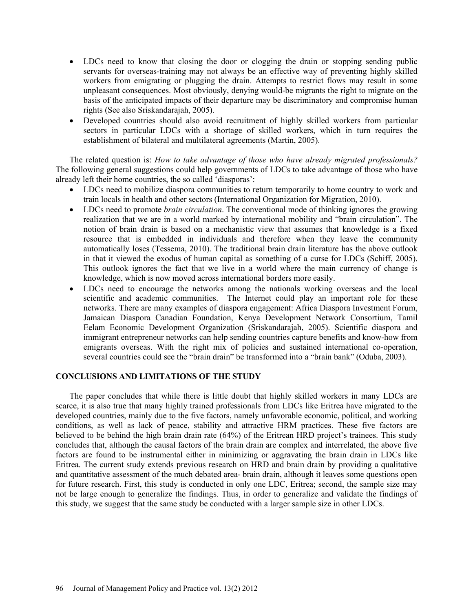- LDCs need to know that closing the door or clogging the drain or stopping sending public servants for overseas-training may not always be an effective way of preventing highly skilled workers from emigrating or plugging the drain. Attempts to restrict flows may result in some unpleasant consequences. Most obviously, denying would-be migrants the right to migrate on the basis of the anticipated impacts of their departure may be discriminatory and compromise human rights (See also Sriskandarajah, 2005).
- Developed countries should also avoid recruitment of highly skilled workers from particular sectors in particular LDCs with a shortage of skilled workers, which in turn requires the establishment of bilateral and multilateral agreements (Martin, 2005).

The related question is: *How to take advantage of those who have already migrated professionals?* The following general suggestions could help governments of LDCs to take advantage of those who have already left their home countries, the so called 'diasporas':

- LDCs need to mobilize diaspora communities to return temporarily to home country to work and train locals in health and other sectors (International Organization for Migration, 2010).
- LDCs need to promote *brain circulation*. The conventional mode of thinking ignores the growing realization that we are in a world marked by international mobility and "brain circulation". The notion of brain drain is based on a mechanistic view that assumes that knowledge is a fixed resource that is embedded in individuals and therefore when they leave the community automatically loses (Tessema, 2010). The traditional brain drain literature has the above outlook in that it viewed the exodus of human capital as something of a curse for LDCs (Schiff, 2005). This outlook ignores the fact that we live in a world where the main currency of change is knowledge, which is now moved across international borders more easily.
- LDCs need to encourage the networks among the nationals working overseas and the local scientific and academic communities. The Internet could play an important role for these networks. There are many examples of diaspora engagement: Africa Diaspora Investment Forum, Jamaican Diaspora Canadian Foundation, Kenya Development Network Consortium, Tamil Eelam Economic Development Organization (Sriskandarajah, 2005). Scientific diaspora and immigrant entrepreneur networks can help sending countries capture benefits and know-how from emigrants overseas. With the right mix of policies and sustained international co-operation, several countries could see the "brain drain" be transformed into a "brain bank" (Oduba, 2003).

### **CONCLUSIONS AND LIMITATIONS OF THE STUDY**

The paper concludes that while there is little doubt that highly skilled workers in many LDCs are scarce, it is also true that many highly trained professionals from LDCs like Eritrea have migrated to the developed countries, mainly due to the five factors, namely unfavorable economic, political, and working conditions, as well as lack of peace, stability and attractive HRM practices. These five factors are believed to be behind the high brain drain rate (64%) of the Eritrean HRD project's trainees. This study concludes that, although the causal factors of the brain drain are complex and interrelated, the above five factors are found to be instrumental either in minimizing or aggravating the brain drain in LDCs like Eritrea. The current study extends previous research on HRD and brain drain by providing a qualitative and quantitative assessment of the much debated area- brain drain, although it leaves some questions open for future research. First, this study is conducted in only one LDC, Eritrea; second, the sample size may not be large enough to generalize the findings. Thus, in order to generalize and validate the findings of this study, we suggest that the same study be conducted with a larger sample size in other LDCs.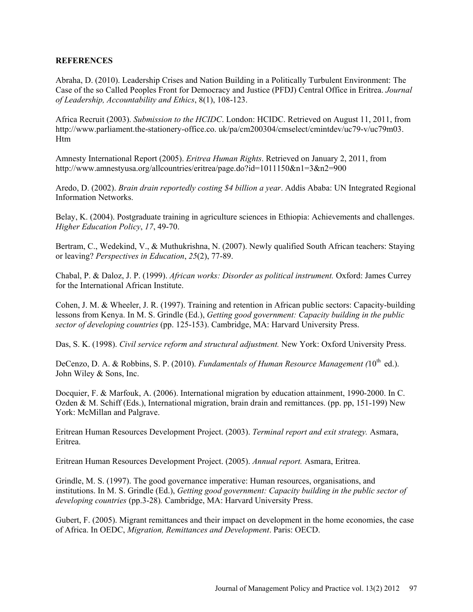## **REFERENCES**

Abraha, D. (2010). Leadership Crises and Nation Building in a Politically Turbulent Environment: The Case of the so Called Peoples Front for Democracy and Justice (PFDJ) Central Office in Eritrea. *Journal of Leadership, Accountability and Ethics*, 8(1), 108-123.

Africa Recruit (2003). *Submission to the HCIDC*. London: HCIDC. Retrieved on August 11, 2011, from http://www.parliament.the-stationery-office.co. uk/pa/cm200304/cmselect/cmintdev/uc79-v/uc79m03. Htm

Amnesty International Report (2005). *Eritrea Human Rights*. Retrieved on January 2, 2011, from http://www.amnestyusa.org/allcountries/eritrea/page.do?id=1011150&n1=3&n2=900

Aredo, D. (2002). *Brain drain reportedly costing \$4 billion a year*. Addis Ababa: UN Integrated Regional Information Networks.

Belay, K. (2004). Postgraduate training in agriculture sciences in Ethiopia: Achievements and challenges. *Higher Education Policy*, *17*, 49-70.

Bertram, C., Wedekind, V., & Muthukrishna, N. (2007). Newly qualified South African teachers: Staying or leaving? *Perspectives in Education*, *25*(2), 77-89.

Chabal, P. & Daloz, J. P. (1999). *African works: Disorder as political instrument.* Oxford: James Currey for the International African Institute.

Cohen, J. M. & Wheeler, J. R. (1997). Training and retention in African public sectors: Capacity-building lessons from Kenya. In M. S. Grindle (Ed.), *Getting good government: Capacity building in the public sector of developing countries* (pp. 125-153). Cambridge, MA: Harvard University Press.

Das, S. K. (1998). *Civil service reform and structural adjustment.* New York: Oxford University Press.

DeCenzo, D. A. & Robbins, S. P. (2010). *Fundamentals of Human Resource Management* (10<sup>th</sup> ed.). John Wiley & Sons, Inc.

Docquier, F. & Marfouk, A. (2006). International migration by education attainment, 1990-2000. In C. Ozden & M. Schiff (Eds.), International migration, brain drain and remittances. (pp. pp, 151-199) New York: McMillan and Palgrave.

Eritrean Human Resources Development Project. (2003). *Terminal report and exit strategy.* Asmara, Eritrea.

Eritrean Human Resources Development Project. (2005). *Annual report.* Asmara, Eritrea.

Grindle, M. S. (1997). The good governance imperative: Human resources, organisations, and institutions. In M. S. Grindle (Ed.), *Getting good government: Capacity building in the public sector of developing countries* (pp.3-28)*.* Cambridge, MA: Harvard University Press.

Gubert, F. (2005). Migrant remittances and their impact on development in the home economies, the case of Africa. In OEDC, *Migration, Remittances and Development*. Paris: OECD.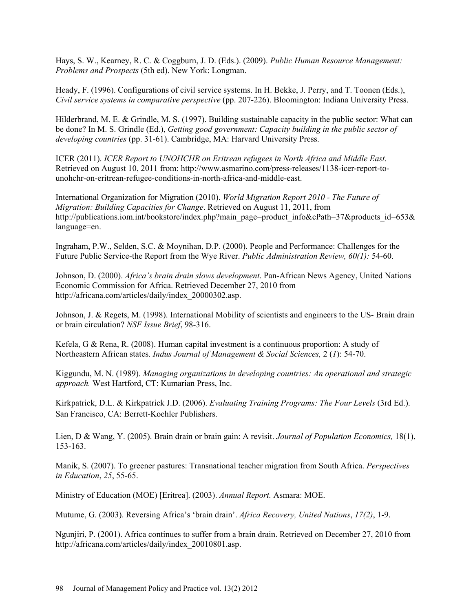Hays, S. W., Kearney, R. C. & Coggburn, J. D. (Eds.). (2009). *Public Human Resource Management: Problems and Prospects* (5th ed). New York: Longman.

Heady, F. (1996). Configurations of civil service systems. In H. Bekke, J. Perry, and T. Toonen (Eds.), *Civil service systems in comparative perspective* (pp. 207-226). Bloomington: Indiana University Press.

Hilderbrand, M. E. & Grindle, M. S. (1997). Building sustainable capacity in the public sector: What can be done? In M. S. Grindle (Ed.), *Getting good government: Capacity building in the public sector of developing countries* (pp. 31-61). Cambridge, MA: Harvard University Press.

ICER (2011). *ICER Report to UNOHCHR on Eritrean refugees in North Africa and Middle East.* Retrieved on August 10, 2011 from: http://www.asmarino.com/press-releases/1138-icer-report-tounohchr-on-eritrean-refugee-conditions-in-north-africa-and-middle-east.

International Organization for Migration (2010). *World Migration Report 2010 - The Future of Migration: Building Capacities for Change*. Retrieved on August 11, 2011, from http://publications.iom.int/bookstore/index.php?main\_page=product\_info&cPath=37&products\_id=653& language=en.

Ingraham, P.W., Selden, S.C. & Moynihan, D.P. (2000). People and Performance: Challenges for the Future Public Service-the Report from the Wye River. *Public Administration Review, 60(1):* 54-60.

Johnson, D. (2000). *Africa's brain drain slows development*. Pan-African News Agency, United Nations Economic Commission for Africa. Retrieved December 27, 2010 from http://africana.com/articles/daily/index\_20000302.asp.

Johnson, J. & Regets, M. (1998). International Mobility of scientists and engineers to the US- Brain drain or brain circulation? *NSF Issue Brief*, 98-316.

Kefela, G & Rena, R. (2008). Human capital investment is a continuous proportion: A study of Northeastern African states. *Indus Journal of Management & Social Sciences,* 2 (*1*): 54-70.

Kiggundu, M. N. (1989). *Managing organizations in developing countries: An operational and strategic approach.* West Hartford, CT: Kumarian Press, Inc.

Kirkpatrick, D.L. & Kirkpatrick J.D. (2006). *Evaluating Training Programs: The Four Levels* (3rd Ed.). San Francisco, CA: Berrett-Koehler Publishers.

Lien, D & Wang, Y. (2005). Brain drain or brain gain: A revisit. *Journal of Population Economics,* 18(1), 153-163.

Manik, S. (2007). To greener pastures: Transnational teacher migration from South Africa. *Perspectives in Education*, *25*, 55-65.

Ministry of Education (MOE) [Eritrea]. (2003). *Annual Report.* Asmara: MOE.

Mutume, G. (2003). Reversing Africa's 'brain drain'. *Africa Recovery, United Nations*, *17(2)*, 1-9.

Ngunjiri, P. (2001). Africa continues to suffer from a brain drain. Retrieved on December 27, 2010 from http://africana.com/articles/daily/index\_20010801.asp.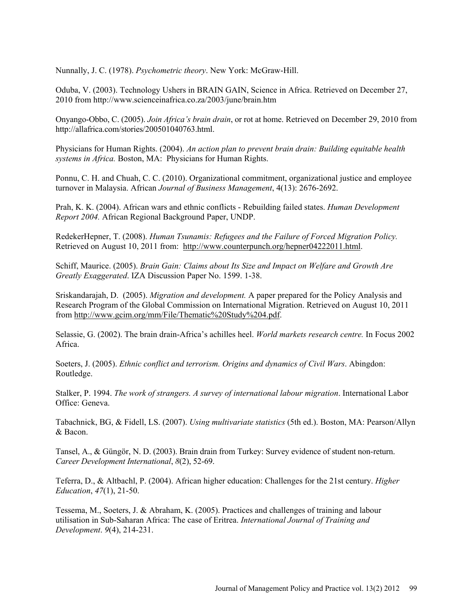Nunnally, J. C. (1978). *Psychometric theory*. New York: McGraw-Hill.

Oduba, V. (2003). Technology Ushers in BRAIN GAIN, Science in Africa. Retrieved on December 27, 2010 from http://www.scienceinafrica.co.za/2003/june/brain.htm

Onyango-Obbo, C. (2005). *Join Africa's brain drain*, or rot at home. Retrieved on December 29, 2010 from http://allafrica.com/stories/200501040763.html.

Physicians for Human Rights. (2004). *An action plan to prevent brain drain: Building equitable health systems in Africa.* Boston, MA: Physicians for Human Rights.

Ponnu, C. H. and Chuah, C. C. (2010). Organizational commitment, organizational justice and employee turnover in Malaysia. African *Journal of Business Management*, 4(13): 2676-2692.

Prah, K. K. (2004). African wars and ethnic conflicts - Rebuilding failed states. *Human Development Report 2004.* African Regional Background Paper, UNDP.

RedekerHepner, T. (2008). *Human Tsunamis: Refugees and the Failure of Forced Migration Policy.* Retrieved on August 10, 2011 from: http://www.counterpunch.org/hepner04222011.html.

Schiff, Maurice. (2005). *Brain Gain: Claims about Its Size and Impact on Welfare and Growth Are Greatly Exaggerated*. IZA Discussion Paper No. 1599. 1-38.

Sriskandarajah, D. (2005). *Migration and development.* A paper prepared for the Policy Analysis and Research Program of the Global Commission on International Migration. Retrieved on August 10, 2011 from http://www.gcim.org/mm/File/Thematic%20Study%204.pdf.

Selassie, G. (2002). The brain drain-Africa's achilles heel. *World markets research centre.* In Focus 2002 Africa.

Soeters, J. (2005). *Ethnic conflict and terrorism. Origins and dynamics of Civil Wars*. Abingdon: Routledge.

Stalker, P. 1994. *The work of strangers. A survey of international labour migration*. International Labor Office: Geneva.

Tabachnick, BG, & Fidell, LS. (2007). *Using multivariate statistics* (5th ed.). Boston, MA: Pearson/Allyn & Bacon.

Tansel, A., & Güngör, N. D. (2003). Brain drain from Turkey: Survey evidence of student non-return. *Career Development International*, *8*(2), 52-69.

Teferra, D., & Altbachl, P. (2004). African higher education: Challenges for the 21st century. *Higher Education*, *47*(1), 21-50.

Tessema, M., Soeters, J. & Abraham, K. (2005). Practices and challenges of training and labour utilisation in Sub-Saharan Africa: The case of Eritrea. *International Journal of Training and Development*. *9*(4), 214-231.